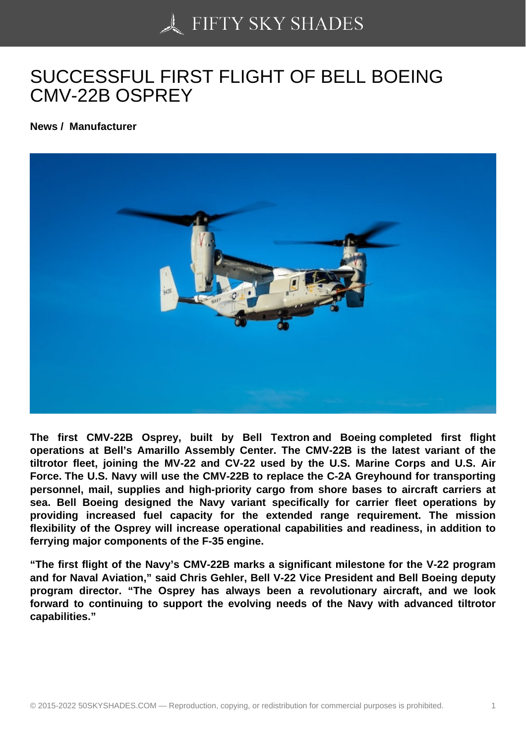## [SUCCESSFUL FIRST](https://50skyshades.com) FLIGHT OF BELL BOEING CMV-22B OSPREY

News / Manufacturer

The first CMV-22B Osprey, built by Bell Textron and Boeing completed first flight operations at Bell's Amarillo Assembly Center. The CMV-22B is the latest variant of the tiltrotor fleet, joining the MV-22 and CV-22 used by the U.S. Marine Corps and U.S. Air Force. The U.S. Navy will use the CMV-22B to replace the C-2A Greyhound for transporting personnel, mail, supplies and high-priority cargo from shore bases to aircraft carriers at sea. Bell Boeing designed the Navy variant specifically for carrier fleet operations by providing increased fuel capacity for the extended range requirement. The mission flexibility of the Osprey will increase operational capabilities and readiness, in addition to ferrying major components of the F-35 engine.

"The first flight of the Navy's CMV-22B marks a significant milestone for the V-22 program and for Naval Aviation," said Chris Gehler, Bell V-22 Vice President and Bell Boeing deputy program director. "The Osprey has always been a revolutionary aircraft, and we look forward to continuing to support the evolving needs of the Navy with advanced tiltrotor capabilities."